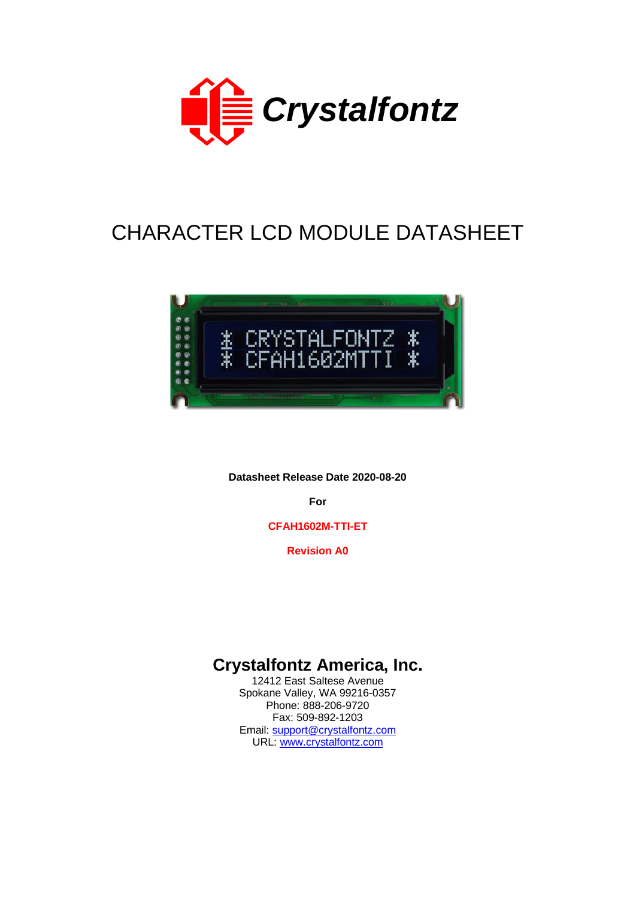

# CHARACTER LCD MODULE DATASHEET



**Datasheet Release Date 2020-08-20**

**For**

**CFAH1602M-TTI-ET**

**Revision A0**

# **Crystalfontz America, Inc.**

12412 East Saltese Avenue Spokane Valley, WA 99216-0357 Phone: 888-206-9720 Fax: 509-892-1203 Email: [support@crystalfontz.com](mailto:support@crystalfontz.com) URL: [www.crystalfontz.com](http://www.crystalfontz.com/)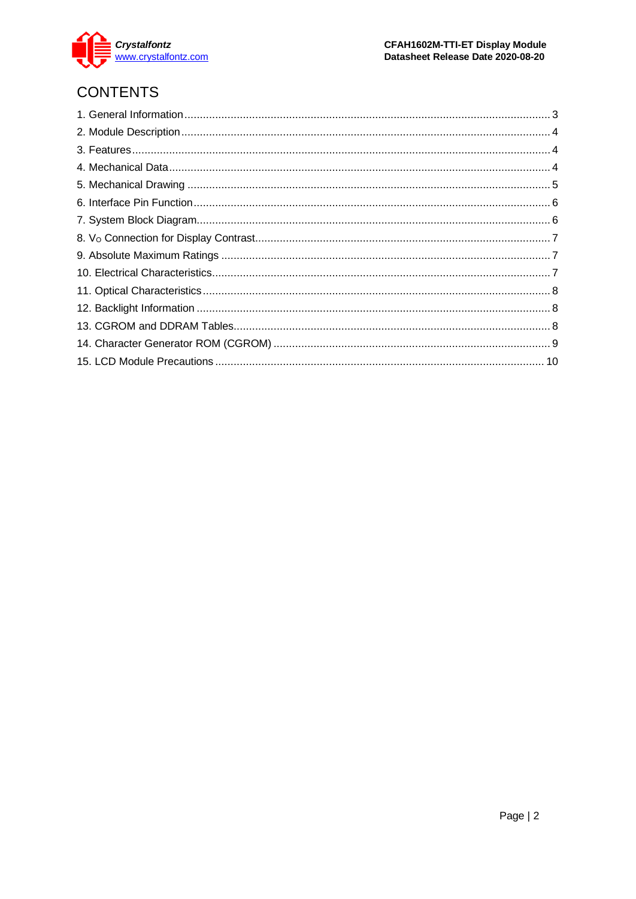

# **CONTENTS**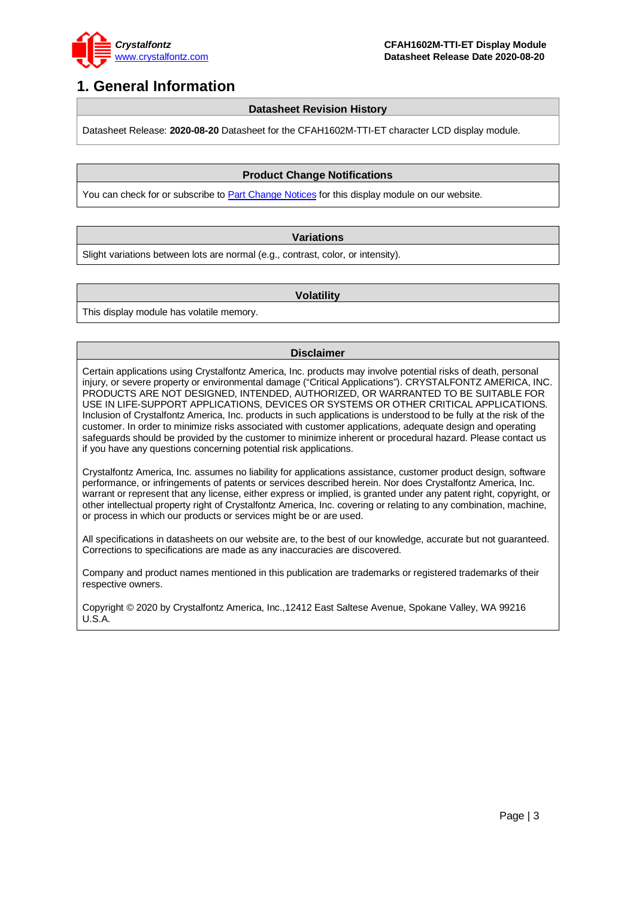

### <span id="page-2-0"></span>**1. General Information**

#### **Datasheet Revision History**

Datasheet Release: **2020-08-20** Datasheet for the CFAH1602M-TTI-ET character LCD display module.

#### **Product Change Notifications**

You can check for or subscribe to **Part Change Notices** for this display module on our website.

#### **Variations**

Slight variations between lots are normal (e.g., contrast, color, or intensity).

#### **Volatility**

This display module has volatile memory.

#### **Disclaimer**

Certain applications using Crystalfontz America, Inc. products may involve potential risks of death, personal injury, or severe property or environmental damage ("Critical Applications"). CRYSTALFONTZ AMERICA, INC. PRODUCTS ARE NOT DESIGNED, INTENDED, AUTHORIZED, OR WARRANTED TO BE SUITABLE FOR USE IN LIFE-SUPPORT APPLICATIONS, DEVICES OR SYSTEMS OR OTHER CRITICAL APPLICATIONS. Inclusion of Crystalfontz America, Inc. products in such applications is understood to be fully at the risk of the customer. In order to minimize risks associated with customer applications, adequate design and operating safeguards should be provided by the customer to minimize inherent or procedural hazard. Please contact us if you have any questions concerning potential risk applications.

Crystalfontz America, Inc. assumes no liability for applications assistance, customer product design, software performance, or infringements of patents or services described herein. Nor does Crystalfontz America, Inc. warrant or represent that any license, either express or implied, is granted under any patent right, copyright, or other intellectual property right of Crystalfontz America, Inc. covering or relating to any combination, machine, or process in which our products or services might be or are used.

All specifications in datasheets on our website are, to the best of our knowledge, accurate but not guaranteed. Corrections to specifications are made as any inaccuracies are discovered.

Company and product names mentioned in this publication are trademarks or registered trademarks of their respective owners.

Copyright © 2020 by Crystalfontz America, Inc.,12412 East Saltese Avenue, Spokane Valley, WA 99216 U.S.A.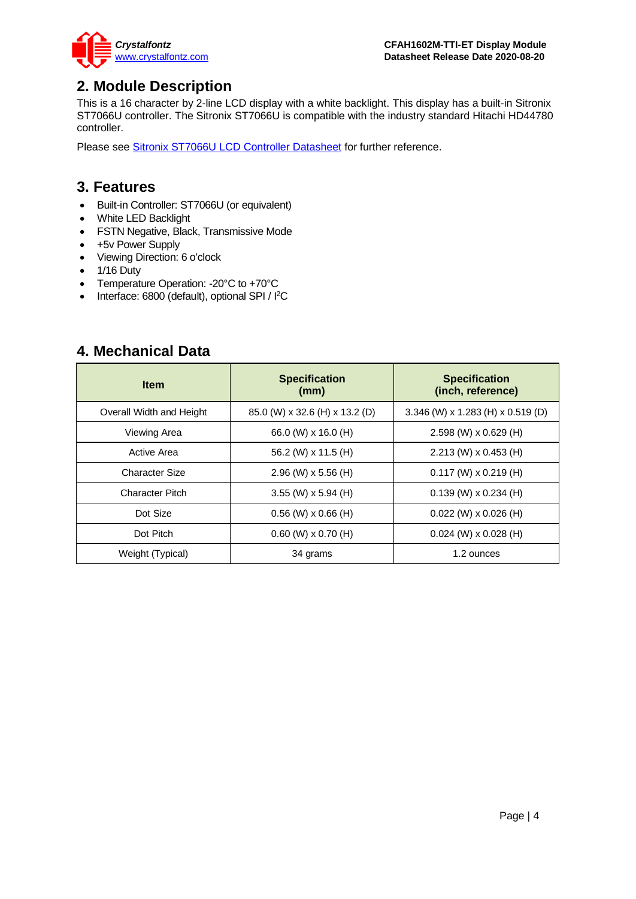

### <span id="page-3-0"></span>**2. Module Description**

This is a 16 character by 2-line LCD display with a white backlight. This display has a built-in Sitronix ST7066U controller. The Sitronix ST7066U is compatible with the industry standard Hitachi HD44780 controller.

Please see [Sitronix ST7066U LCD Controller Datasheet](https://www.crystalfontz.com/controllers/Sitronix/ST7066U) for further reference.

#### <span id="page-3-1"></span>**3. Features**

- Built-in Controller: ST7066U (or equivalent)
- White LED Backlight
- FSTN Negative, Black, Transmissive Mode
- +5v Power Supply
- Viewing Direction: 6 o'clock
- 1/16 Duty
- Temperature Operation: -20°C to +70°C
- Interface: 6800 (default), optional SPI / I<sup>2</sup>C

#### <span id="page-3-2"></span>**4. Mechanical Data**

| <b>Item</b>              | <b>Specification</b><br>(mm)   | <b>Specification</b><br>(inch, reference) |
|--------------------------|--------------------------------|-------------------------------------------|
| Overall Width and Height | 85.0 (W) x 32.6 (H) x 13.2 (D) | 3.346 (W) x 1.283 (H) x 0.519 (D)         |
| Viewing Area             | 66.0 (W) x 16.0 (H)            | $2.598$ (W) x 0.629 (H)                   |
| Active Area              | 56.2 (W) x 11.5 (H)            | $2.213$ (W) x 0.453 (H)                   |
| Character Size           | $2.96$ (W) x 5.56 (H)          | $0.117$ (W) x 0.219 (H)                   |
| Character Pitch          | $3.55$ (W) x 5.94 (H)          | $0.139$ (W) x $0.234$ (H)                 |
| Dot Size                 | $0.56$ (W) $\times$ 0.66 (H)   | $0.022$ (W) x $0.026$ (H)                 |
| Dot Pitch                | $0.60$ (W) $\times$ 0.70 (H)   | $0.024$ (W) x $0.028$ (H)                 |
| Weight (Typical)         | 34 grams                       | 1.2 ounces                                |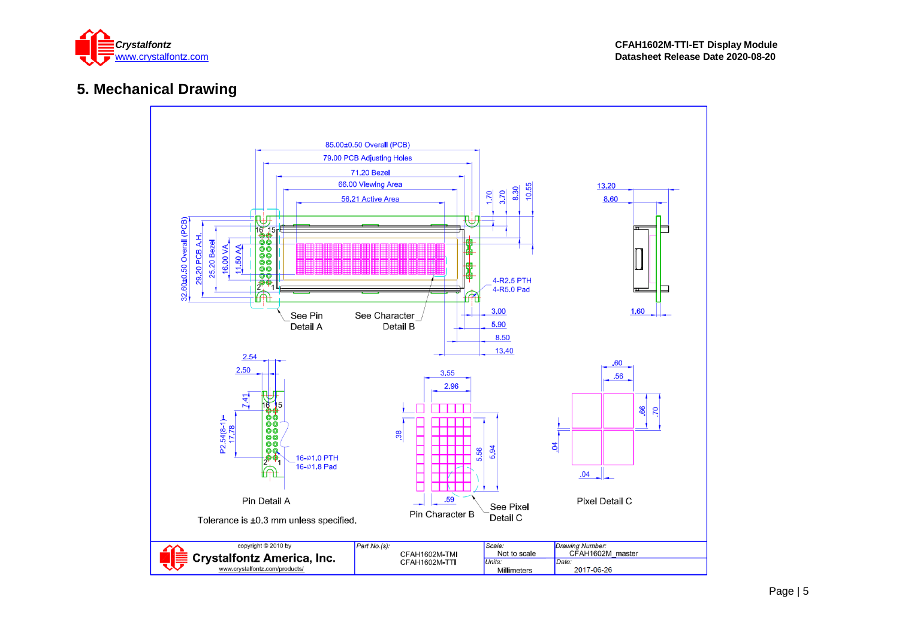

### **5. Mechanical Drawing**

<span id="page-4-0"></span>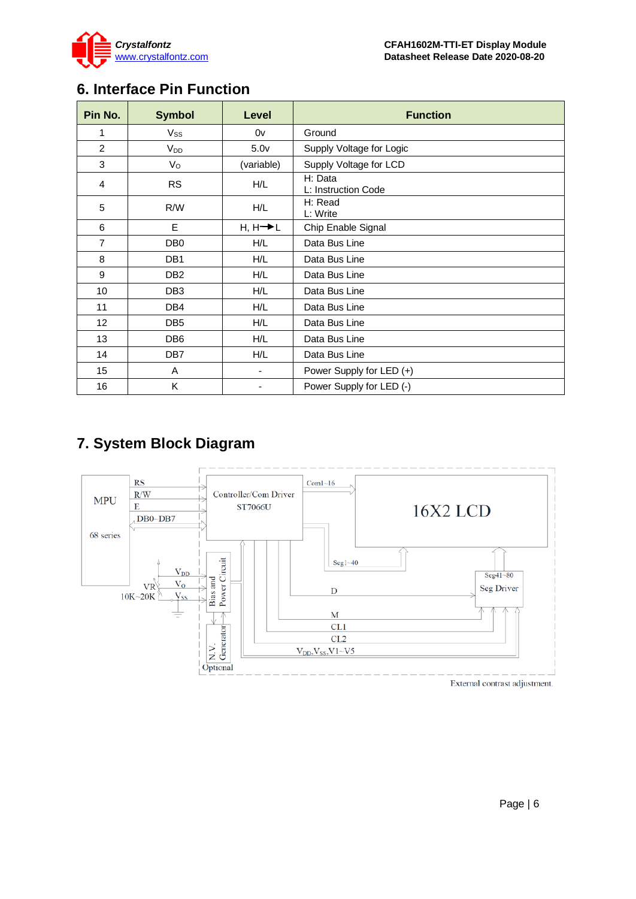

# <span id="page-5-0"></span>**6. Interface Pin Function**

| Pin No.        | <b>Symbol</b>   | Level                | <b>Function</b>                |
|----------------|-----------------|----------------------|--------------------------------|
| 1              | $V_{SS}$        | 0v                   | Ground                         |
| $\overline{2}$ | V <sub>DD</sub> | 5.0 <sub>V</sub>     | Supply Voltage for Logic       |
| 3              | $V_{\rm O}$     | (variable)           | Supply Voltage for LCD         |
| 4              | <b>RS</b>       | H/L                  | H: Data<br>L: Instruction Code |
| 5              | R/W             | H/L                  | H: Read<br>L: Write            |
| 6              | E               | $H, H \rightarrow L$ | Chip Enable Signal             |
| $\overline{7}$ | DB <sub>0</sub> | H/L                  | Data Bus Line                  |
| 8              | DB1             | H/L                  | Data Bus Line                  |
| 9              | DB <sub>2</sub> | H/L                  | Data Bus Line                  |
| 10             | DB <sub>3</sub> | H/L                  | Data Bus Line                  |
| 11             | DB4             | H/L                  | Data Bus Line                  |
| 12             | DB <sub>5</sub> | H/L                  | Data Bus Line                  |
| 13             | DB <sub>6</sub> | H/L                  | Data Bus Line                  |
| 14             | DB <sub>7</sub> | H/L                  | Data Bus Line                  |
| 15             | A               | $\blacksquare$       | Power Supply for LED (+)       |
| 16             | Κ               |                      | Power Supply for LED (-)       |

# <span id="page-5-1"></span>**7. System Block Diagram**

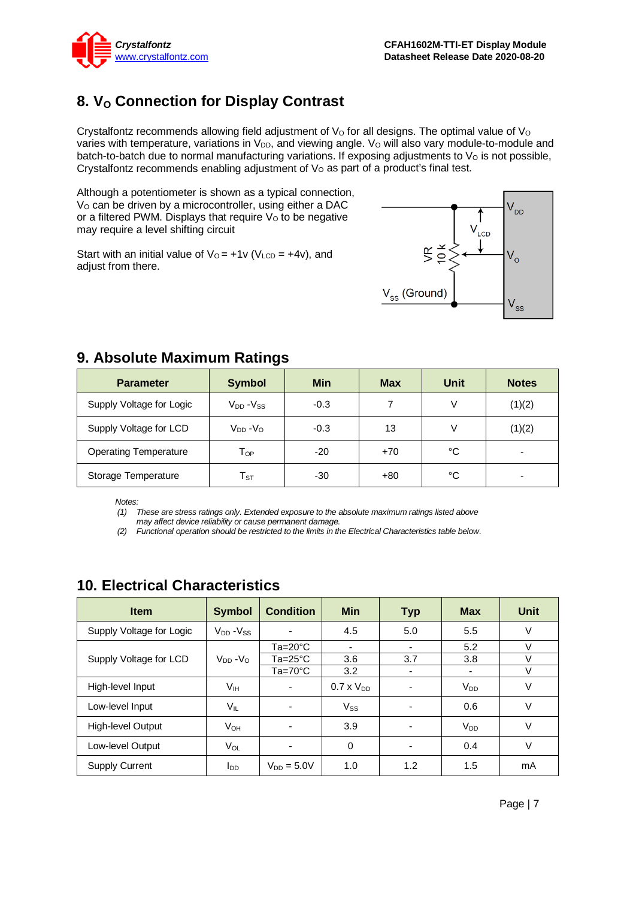

## <span id="page-6-0"></span>**8. V<sub>o</sub>** Connection for Display Contrast

Crystalfontz recommends allowing field adjustment of  $V<sub>O</sub>$  for all designs. The optimal value of  $V<sub>O</sub>$ varies with temperature, variations in V<sub>DD</sub>, and viewing angle. V<sub>o</sub> will also vary module-to-module and batch-to-batch due to normal manufacturing variations. If exposing adjustments to  $V<sub>O</sub>$  is not possible, Crystalfontz recommends enabling adjustment of  $V<sub>O</sub>$  as part of a product's final test.

Although a potentiometer is shown as a typical connection, V<sub>o</sub> can be driven by a microcontroller, using either a DAC or a filtered PWM. Displays that require  $V<sub>o</sub>$  to be negative may require a level shifting circuit

Start with an initial value of  $V_0 = +1v$  ( $V_{LCD} = +4v$ ), and adjust from there.



| <b>Parameter</b>             | <b>Symbol</b>              | <b>Min</b> | <b>Max</b> | <b>Unit</b> | <b>Notes</b> |
|------------------------------|----------------------------|------------|------------|-------------|--------------|
| Supply Voltage for Logic     | $V_{DD} - V_{SS}$          | $-0.3$     | 7          | V           | (1)(2)       |
| Supply Voltage for LCD       | $V_{DD} - V_{O}$           | $-0.3$     | 13         | V           | (1)(2)       |
| <b>Operating Temperature</b> | $\mathsf{T}_{\mathsf{OP}}$ | $-20$      | $+70$      | °C          |              |
| Storage Temperature          | ${\sf T}_{\tt ST}$         | -30        | $+80$      | °C          | -            |

### <span id="page-6-1"></span>**9. Absolute Maximum Ratings**

*Notes:*

*(1) These are stress ratings only. Extended exposure to the absolute maximum ratings listed above may affect device reliability or cause permanent damage.* 

*(2) Functional operation should be restricted to the limits in the Electrical Characteristics table below.*

| <b>Item</b>              | <b>Symbol</b>          | <b>Condition</b>         | <b>Min</b>               | <b>Typ</b>               | <b>Max</b>            | Unit   |
|--------------------------|------------------------|--------------------------|--------------------------|--------------------------|-----------------------|--------|
| Supply Voltage for Logic | $V_{DD} - V_{SS}$      |                          | 4.5                      | 5.0                      | 5.5                   | V      |
|                          |                        | $Ta=20^{\circ}C$         | $\overline{\phantom{0}}$ | $\overline{\phantom{0}}$ | 5.2                   | v      |
| Supply Voltage for LCD   | $V_{DD} - V_{\Omega}$  | $Ta = 25^{\circ}C$       | 3.6                      | 3.7                      | 3.8                   | V      |
|                          |                        | $Ta=70^{\circ}C$         | 3.2                      |                          |                       | V      |
| High-level Input         | V <sub>IH</sub>        | ۰                        | $0.7 \times V_{DD}$      |                          | $V_{DD}$              | V      |
| Low-level Input          | $V_{IL}$               | $\overline{\phantom{0}}$ | $V_{SS}$                 | ۰                        | 0.6                   | V      |
| High-level Output        | <b>V</b> <sub>OН</sub> |                          | 3.9                      |                          | <b>V<sub>DD</sub></b> | $\vee$ |
| Low-level Output         | V <sub>OL</sub>        |                          | 0                        |                          | 0.4                   | V      |
| <b>Supply Current</b>    | loo                    | $V_{DD} = 5.0V$          | 1.0                      | 1.2                      | 1.5                   | mA     |

### <span id="page-6-2"></span>**10. Electrical Characteristics**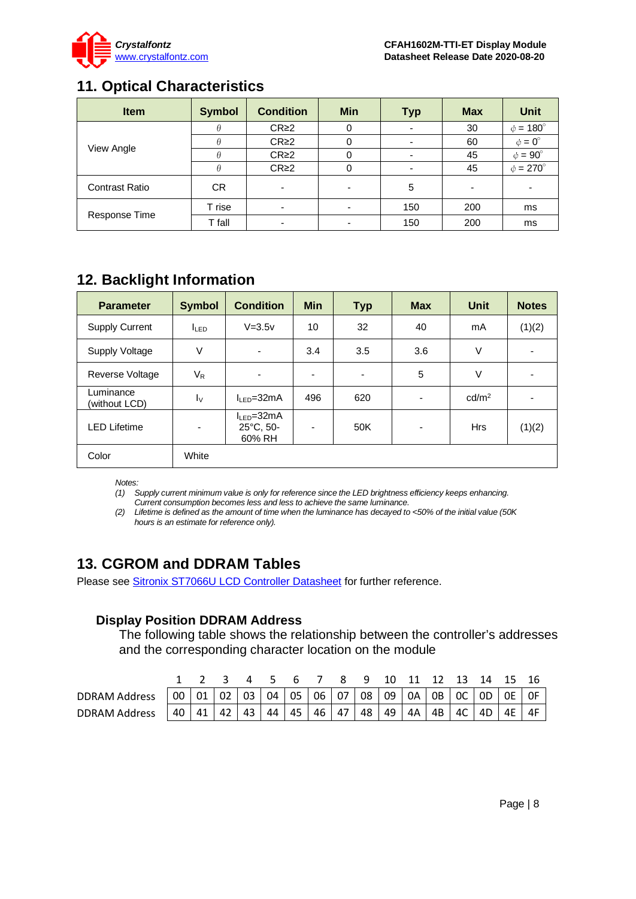

### <span id="page-7-0"></span>**11. Optical Characteristics**

| <b>Item</b>           | <b>Symbol</b> | <b>Condition</b> | <b>Min</b> | <b>Typ</b> | <b>Max</b> | Unit                 |
|-----------------------|---------------|------------------|------------|------------|------------|----------------------|
|                       |               | CR <sub>2</sub>  |            |            | 30         | $\phi = 180^\circ$   |
| View Angle            |               | CR <sub>2</sub>  | 0          |            | 60         | $\phi = 0^{\circ}$   |
|                       |               | CR <sub>2</sub>  | 0          |            | 45         | $\phi = 90^\circ$    |
|                       | н             | CR <sub>2</sub>  | 0          |            | 45         | $\phi = 270^{\circ}$ |
| <b>Contrast Ratio</b> | CR.           |                  | ٠          | 5          | -          |                      |
|                       | T rise        |                  |            | 150        | 200        | ms                   |
| Response Time         | T fall        |                  |            | 150        | 200        | ms                   |

## <span id="page-7-1"></span>**12. Backlight Information**

| <b>Parameter</b>           | <b>Symbol</b>    | <b>Condition</b>                                  | <b>Min</b> | <b>Typ</b>               | <b>Max</b>               | <b>Unit</b>       | <b>Notes</b> |
|----------------------------|------------------|---------------------------------------------------|------------|--------------------------|--------------------------|-------------------|--------------|
| <b>Supply Current</b>      | I <sub>LED</sub> | $V = 3.5v$                                        | 10         | 32                       | 40                       | mA                | (1)(2)       |
| Supply Voltage             | ٧                | $\overline{\phantom{a}}$                          | 3.4        | 3.5                      | 3.6                      | V                 |              |
| <b>Reverse Voltage</b>     | $V_{R}$          | $\blacksquare$                                    | -          | $\overline{\phantom{a}}$ | 5                        | V                 |              |
| Luminance<br>(without LCD) | $I_{\rm V}$      | $I_{LED} = 32mA$                                  | 496        | 620                      | $\overline{\phantom{a}}$ | cd/m <sup>2</sup> |              |
| <b>LED Lifetime</b>        | ٠                | $I_{LED} = 32mA$<br>$25^{\circ}$ C, 50-<br>60% RH | -          | 50K                      | $\overline{\phantom{a}}$ | <b>Hrs</b>        | (1)(2)       |
| Color                      | White            |                                                   |            |                          |                          |                   |              |

*Notes:* 

*(1) Supply current minimum value is only for reference since the LED brightness efficiency keeps enhancing. Current consumption becomes less and less to achieve the same luminance.* 

*(2) Lifetime is defined as the amount of time when the luminance has decayed to <50% of the initial value (50K hours is an estimate for reference only).*

### <span id="page-7-2"></span>**13. CGROM and DDRAM Tables**

Please see **Sitronix ST7066U LCD Controller Datasheet** for further reference.

#### **Display Position DDRAM Address**

The following table shows the relationship between the controller's addresses and the corresponding character location on the module

|                      |    |               |                |  |    |    |                     |  | 2 3 4 5 6 7 8 9 10 11 12 13 14 15 16                                          |     |    |
|----------------------|----|---------------|----------------|--|----|----|---------------------|--|-------------------------------------------------------------------------------|-----|----|
| <b>DDRAM Address</b> |    |               |                |  |    |    |                     |  | 00   01   02   03   04   05   06   07   08   09   0A   0B   0C   0D   0E   0F |     |    |
| <b>DDRAM Address</b> | 40 | $41$   42   5 | 43 44 45 46 47 |  | 48 | 49 | $4A$   4B   4C   4D |  |                                                                               | 14E | 4F |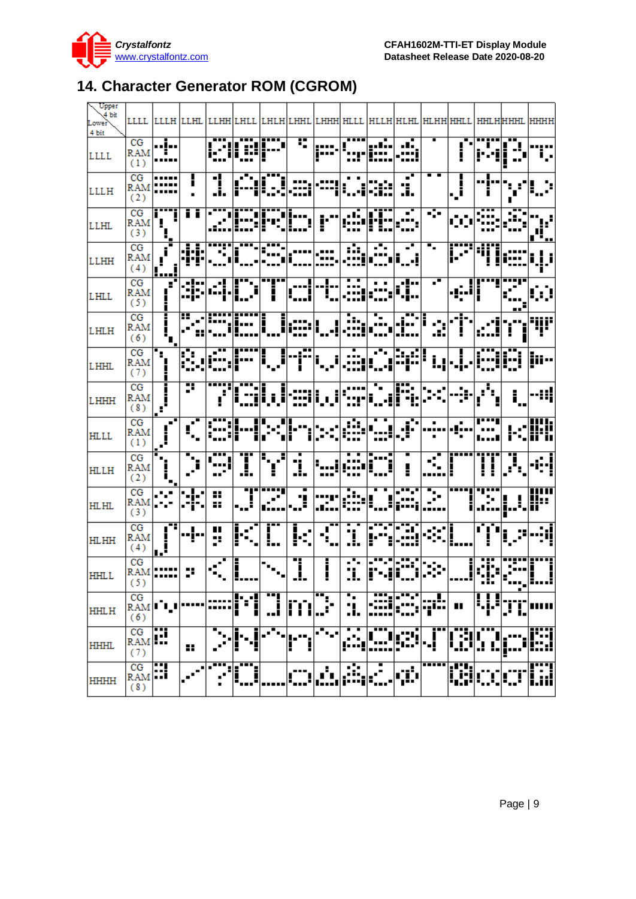

# <span id="page-8-0"></span>**14. Character Generator ROM (CGROM)**

| Upper<br>4 <sub>bit</sub><br>Lower<br>4 bit |                                                                                                         |                                                                                  |                             |                                                                                                     |                      |                                          |                          |                           |                                   |                                                                                                                              |                          |                                                   |                                                                                                                                                                                                                                                                                                                                                     |                         |              | LLLL  LLLH  LLHL  LLHH LHLL  LHLH LHHL  LHHH HLLL  HLLH HLHL  HLHH HHLL  HHLH HHHL  HHHH |
|---------------------------------------------|---------------------------------------------------------------------------------------------------------|----------------------------------------------------------------------------------|-----------------------------|-----------------------------------------------------------------------------------------------------|----------------------|------------------------------------------|--------------------------|---------------------------|-----------------------------------|------------------------------------------------------------------------------------------------------------------------------|--------------------------|---------------------------------------------------|-----------------------------------------------------------------------------------------------------------------------------------------------------------------------------------------------------------------------------------------------------------------------------------------------------------------------------------------------------|-------------------------|--------------|------------------------------------------------------------------------------------------|
| <b>LLLL</b>                                 | CG<br>(1)                                                                                               | j<br>$RAM$ <sup>----</sup><br>                                                   |                             |                                                                                                     |                      |                                          |                          |                           |                                   |                                                                                                                              |                          |                                                   | $\mathbf{r}$                                                                                                                                                                                                                                                                                                                                        |                         |              | н.                                                                                       |
| <b>LLLH</b>                                 | CG<br><b>RAM</b><br>(2)                                                                                 |                                                                                  | Г                           | 1                                                                                                   | $\  \mathbb{H}^1 \ $ |                                          |                          | .::: ·:::                 |                                   | <b>E</b>                                                                                                                     | $\overline{\phantom{a}}$ |                                                   | $\mathbf{L}^{\dagger}$                                                                                                                                                                                                                                                                                                                              | --]-- - <sub>:-</sub> : |              |                                                                                          |
| <b>LLHL</b>                                 | CG<br><b>RAM</b><br>(3)                                                                                 | $\left \frac{\cdot \cdot \cdot \cdot \cdot}{\cdot \cdot \cdot}\right $           | īī                          |                                                                                                     |                      |                                          |                          |                           |                                   | eli                                                                                                                          | ਵ<br>.                   | राज                                               |                                                                                                                                                                                                                                                                                                                                                     |                         |              |                                                                                          |
| <b>LLHH</b>                                 | CG<br>RAM                                                                                               | $\left[\begin{array}{c} \text{RAM} \\ \text{(4)} \\ \text{1} \end{array}\right]$ |                             |                                                                                                     |                      |                                          |                          |                           |                                   | ┾╍┰╕┽╶╍╍╶╽╸╍╌╎╶╌╌╎╶╌╌╷╶╶╴╎╶┇╸╎╶╶╴╎╵╶╸╎╺╶<br>╎╸╴╴╿╹╴╴╸╿╌╌╹╶╹╹╶╹╹╶╶╌╌╶╶╌╌╶╶╶╶                                                  |                          |                                                   | $\mathbf{u}$                                                                                                                                                                                                                                                                                                                                        |                         |              |                                                                                          |
| <b>LHLL</b>                                 | CG<br><b>RAM</b><br>(5)                                                                                 | ×,                                                                               |                             | ╎╼┱╾┥╌╼┱┼ <mark>╗╍╍╴</mark> ┼╍┲╍╸<br>╎╴┋╸┥╺╌┇╎ <mark>┇╍╍╌</mark> ╎╍┲╍<br>│╍┇╾╿╹╍┇┥ <b>┇</b> ╻╻╸╿╎┈┇ |                      |                                          |                          |                           | $\overline{[]}$ : $\overline{[]}$ | $\left\  \frac{1}{2} \sum_{i=1}^{n} \frac{1}{2} \left  \frac{1}{2} \sum_{i=1}^{n} \frac{1}{2} \right  \right\ $              |                          | $\frac{1}{2}$ and $\frac{1}{2}$ and $\frac{1}{2}$ | --- <sup>----</sup>   <br> --- <sup>-  </sup>                                                                                                                                                                                                                                                                                                       |                         |              |                                                                                          |
| <b>LHLH</b>                                 | CG<br><b>RAM</b><br>(6)                                                                                 | ţ.                                                                               | m<br>Fi                     |                                                                                                     |                      |                                          |                          |                           |                                   |                                                                                                                              |                          |                                                   |                                                                                                                                                                                                                                                                                                                                                     |                         |              | i il il:                                                                                 |
| <b>LHHL</b>                                 | CG<br><b>RAM</b><br>(7)                                                                                 |                                                                                  |                             |                                                                                                     |                      |                                          |                          |                           |                                   | <sup> </sup> ∎__∎ --a== a__a _aa_ _a==  <mark>a=a== a</mark>                                                                 |                          |                                                   | $\begin{picture}(20,5) \put(0,0){\line(0,1){15}} \put(15,0){\line(0,1){15}} \put(15,0){\line(0,1){15}} \put(15,0){\line(0,1){15}} \put(15,0){\line(0,1){15}} \put(15,0){\line(0,1){15}} \put(15,0){\line(0,1){15}} \put(15,0){\line(0,1){15}} \put(15,0){\line(0,1){15}} \put(15,0){\line(0,1){15}} \put(15,0){\line(0,1){15}} \put(15,0){\line(0,$ |                         | TTE EIETTE 1 |                                                                                          |
| <b>LHHH</b>                                 | CG<br>RAM<br>(8)                                                                                        | $\mathbf{L}^{\bullet}$                                                           | ÷.                          |                                                                                                     |                      |                                          |                          |                           |                                   |                                                                                                                              |                          |                                                   |                                                                                                                                                                                                                                                                                                                                                     | $\overline{\Phi}_j$     |              |                                                                                          |
| <b>HLLL</b>                                 | CG<br>RAM<br>(1)                                                                                        | ᆋ<br>i.<br>÷,                                                                    | ¢,                          | ::   <br> ::                                                                                        |                      |                                          |                          |                           |                                   | <u> ---  --  ---  --</u> -  ---  ---                                                                                         |                          |                                                   |                                                                                                                                                                                                                                                                                                                                                     |                         |              |                                                                                          |
| <b>HLLH</b>                                 | CG<br>RAM<br>(2)                                                                                        | 'n,<br>i.,                                                                       |                             | ar i                                                                                                | Ţ                    | $\left  \ddot{} \ddot{} \ddot{} \right $ | $\overline{\phantom{a}}$ | $\mathbb{1}$ $\mathbb{H}$ |                                   | erri                                                                                                                         |                          | $\mathbb{R}$                                      |                                                                                                                                                                                                                                                                                                                                                     |                         | A,           |                                                                                          |
| <b>HLHL</b>                                 | $\overline{CG}$<br>RAM<br>(3)                                                                           | L÷le                                                                             | i<br>∵.                     | $\mathbf{H}$<br>$\mathbf{H}$                                                                        |                      | ├╌╍ <b>┆╸╎╴┆</b><br>╎╷╌                  | $\mathbf{d}$             | 68                        |                                   |                                                                                                                              | <del>ग्न</del> ग         |                                                   | <del>--  </del> ---- <br>.:-                                                                                                                                                                                                                                                                                                                        |                         |              |                                                                                          |
| <b>HLHH</b>                                 | CG<br><b>RAM</b><br>(4)                                                                                 | $\begin{array}{c} \boxed{\phantom{0}1} \end{array}$                              | ]                           | $\blacksquare$<br>÷.                                                                                |                      | $\overline{\mathbb{L}}$                  |                          | Ŧ.                        | ī                                 |                                                                                                                              | Ŧ.                       |                                                   |                                                                                                                                                                                                                                                                                                                                                     | ninin                   |              | المتسالمة                                                                                |
| <b>HHLL</b>                                 | CG<br>(5)                                                                                               | $\frac{CG}{RAM}$ ::::: :::::                                                     |                             | $\left  \cdot \right $                                                                              | $\prod_{i=1}^n$      | $\mathsf{F}_{\mathsf{F}_{\bullet}}$      | $\overline{\mathbf{J}}$  | Ī                         |                                   | <del>╶╶╹╸</del> ╎╾╍╌╺╎╌╍╌┆╌ <sub>╌</sub> ╌╎╎╌╌╎╎╌╌┇╎╌┋╴┤╸╌╌╎<br>╶┇┇╴│┇╵╸╸╝╿╸╌╌╿╸ <sup>╾╾╾</sup> │╌╌╹│╌╌╌╿┆┋┋╶╿╸ <u>╏╻</u> ╎┋ |                          |                                                   |                                                                                                                                                                                                                                                                                                                                                     |                         | .,           |                                                                                          |
| <b>HHLH</b>                                 | CG<br>RAM <sup>I</sup> II<br>(6)                                                                        |                                                                                  |                             |                                                                                                     | ш                    | m<br>ыĺ                                  |                          | Heat.                     | ٠.<br>.,<br>                      | ┅                                                                                                                            | .                        |                                                   | Ш                                                                                                                                                                                                                                                                                                                                                   | i. j. i                 |              |                                                                                          |
| <b>HHHL</b>                                 | $\begin{array}{ c c } \hline \text{CG} & \text{ICG} \\ \hline \text{RAM} & \text{I} \end{array}$<br>(7) |                                                                                  | 88                          |                                                                                                     |                      |                                          | н                        | œ,                        |                                   |                                                                                                                              |                          | - 1                                               | ---<br>׀׃׀֛֛֢֢֢֢֢֢֢֢֢֛֛֛֚֚֚׀                                                                                                                                                                                                                                                                                                                        |                         |              | -----                                                                                    |
| HHHH                                        | $\frac{CG}{RAM}$<br>(8)                                                                                 |                                                                                  | $\mathcal{C}^{\mathcal{C}}$ |                                                                                                     |                      |                                          |                          | н<br>Ū                    | 蕊                                 |                                                                                                                              | ď<br>m                   | <b></b>                                           | æ<br>76 i<br>'I.I'                                                                                                                                                                                                                                                                                                                                  |                         |              |                                                                                          |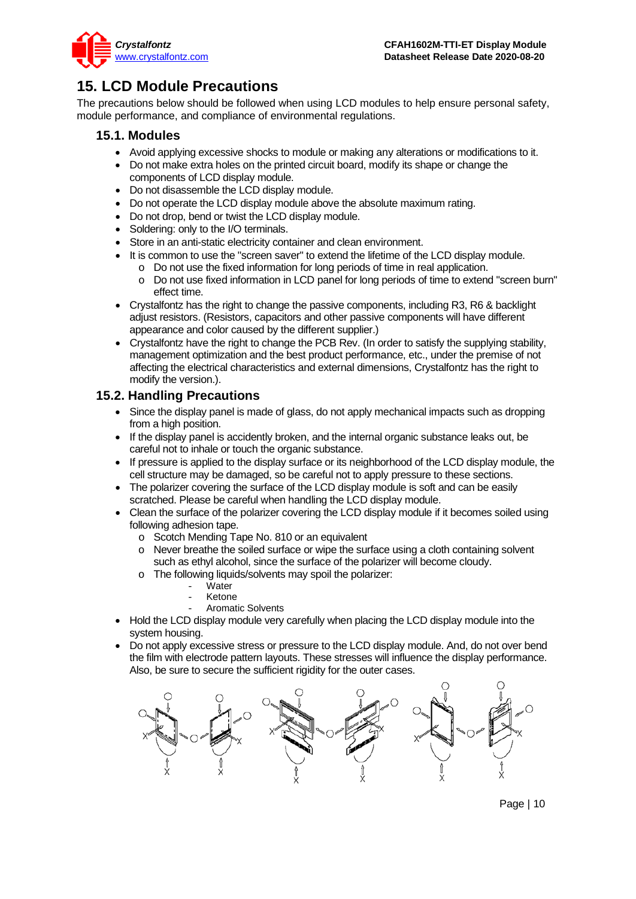

### <span id="page-9-0"></span>**15. LCD Module Precautions**

The precautions below should be followed when using LCD modules to help ensure personal safety, module performance, and compliance of environmental regulations.

#### **15.1. Modules**

- Avoid applying excessive shocks to module or making any alterations or modifications to it.
- Do not make extra holes on the printed circuit board, modify its shape or change the components of LCD display module.
- Do not disassemble the LCD display module.
- Do not operate the LCD display module above the absolute maximum rating.
- Do not drop, bend or twist the LCD display module.
- Soldering: only to the I/O terminals.
- Store in an anti-static electricity container and clean environment.
- It is common to use the "screen saver" to extend the lifetime of the LCD display module.
	- o Do not use the fixed information for long periods of time in real application.
	- Do not use fixed information in LCD panel for long periods of time to extend "screen burn" effect time.
- Crystalfontz has the right to change the passive components, including R3, R6 & backlight adjust resistors. (Resistors, capacitors and other passive components will have different appearance and color caused by the different supplier.)
- Crystalfontz have the right to change the PCB Rev. (In order to satisfy the supplying stability, management optimization and the best product performance, etc., under the premise of not affecting the electrical characteristics and external dimensions, Crystalfontz has the right to modify the version.).

#### **15.2. Handling Precautions**

- Since the display panel is made of glass, do not apply mechanical impacts such as dropping from a high position.
- If the display panel is accidently broken, and the internal organic substance leaks out, be careful not to inhale or touch the organic substance.
- If pressure is applied to the display surface or its neighborhood of the LCD display module, the cell structure may be damaged, so be careful not to apply pressure to these sections.
- The polarizer covering the surface of the LCD display module is soft and can be easily scratched. Please be careful when handling the LCD display module.
- Clean the surface of the polarizer covering the LCD display module if it becomes soiled using following adhesion tape.
	- o Scotch Mending Tape No. 810 or an equivalent
	- o Never breathe the soiled surface or wipe the surface using a cloth containing solvent such as ethyl alcohol, since the surface of the polarizer will become cloudy.
	- o The following liquids/solvents may spoil the polarizer:
		- Water
		- **Ketone**
		- Aromatic Solvents
- Hold the LCD display module very carefully when placing the LCD display module into the system housing.
- Do not apply excessive stress or pressure to the LCD display module. And, do not over bend the film with electrode pattern layouts. These stresses will influence the display performance. Also, be sure to secure the sufficient rigidity for the outer cases.



Page | 10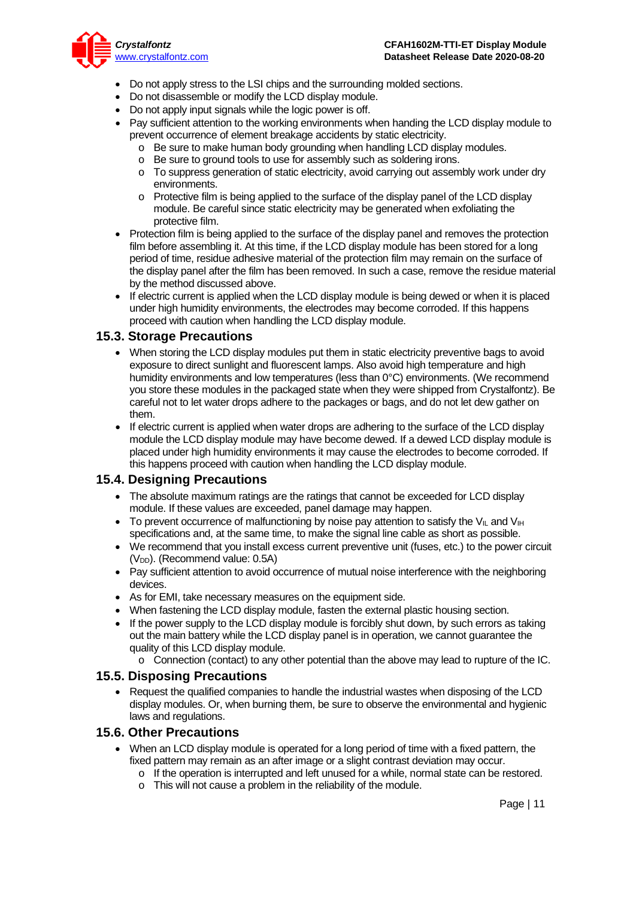

- Do not apply stress to the LSI chips and the surrounding molded sections.
- Do not disassemble or modify the LCD display module.
- Do not apply input signals while the logic power is off.
- Pay sufficient attention to the working environments when handing the LCD display module to prevent occurrence of element breakage accidents by static electricity.
	- o Be sure to make human body grounding when handling LCD display modules.
	- o Be sure to ground tools to use for assembly such as soldering irons.
	- o To suppress generation of static electricity, avoid carrying out assembly work under dry environments.
	- o Protective film is being applied to the surface of the display panel of the LCD display module. Be careful since static electricity may be generated when exfoliating the protective film.
- Protection film is being applied to the surface of the display panel and removes the protection film before assembling it. At this time, if the LCD display module has been stored for a long period of time, residue adhesive material of the protection film may remain on the surface of the display panel after the film has been removed. In such a case, remove the residue material by the method discussed above.
- If electric current is applied when the LCD display module is being dewed or when it is placed under high humidity environments, the electrodes may become corroded. If this happens proceed with caution when handling the LCD display module.

#### **15.3. Storage Precautions**

- When storing the LCD display modules put them in static electricity preventive bags to avoid exposure to direct sunlight and fluorescent lamps. Also avoid high temperature and high humidity environments and low temperatures (less than 0°C) environments. (We recommend you store these modules in the packaged state when they were shipped from Crystalfontz). Be careful not to let water drops adhere to the packages or bags, and do not let dew gather on them.
- If electric current is applied when water drops are adhering to the surface of the LCD display module the LCD display module may have become dewed. If a dewed LCD display module is placed under high humidity environments it may cause the electrodes to become corroded. If this happens proceed with caution when handling the LCD display module.

#### **15.4. Designing Precautions**

- The absolute maximum ratings are the ratings that cannot be exceeded for LCD display module. If these values are exceeded, panel damage may happen.
- To prevent occurrence of malfunctioning by noise pay attention to satisfy the V<sub>IL</sub> and V<sub>IH</sub> specifications and, at the same time, to make the signal line cable as short as possible.
- We recommend that you install excess current preventive unit (fuses, etc.) to the power circuit (V<sub>DD</sub>). (Recommend value: 0.5A)
- Pay sufficient attention to avoid occurrence of mutual noise interference with the neighboring devices.
- As for EMI, take necessary measures on the equipment side.
- When fastening the LCD display module, fasten the external plastic housing section.
- If the power supply to the LCD display module is forcibly shut down, by such errors as taking out the main battery while the LCD display panel is in operation, we cannot guarantee the quality of this LCD display module.
	- o Connection (contact) to any other potential than the above may lead to rupture of the IC.

#### **15.5. Disposing Precautions**

• Request the qualified companies to handle the industrial wastes when disposing of the LCD display modules. Or, when burning them, be sure to observe the environmental and hygienic laws and regulations.

#### **15.6. Other Precautions**

- When an LCD display module is operated for a long period of time with a fixed pattern, the fixed pattern may remain as an after image or a slight contrast deviation may occur.
	- $\circ$  If the operation is interrupted and left unused for a while, normal state can be restored.
	- o This will not cause a problem in the reliability of the module.